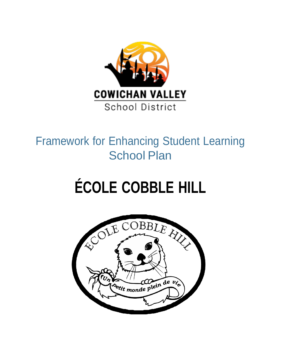

# Framework for Enhancing Student Learning School Plan

# **ÉCOLE COBBLE HILL**

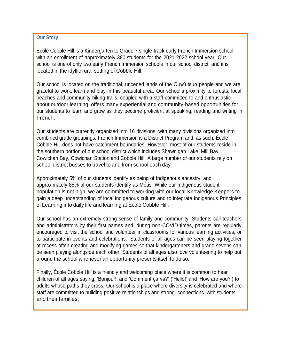### **Our Story**

École Cobble Hill is a Kindergarten to Grade 7 single-track early French Immersion school with an enrollment of approximately 380 students for the 2021-2022 school year. Our school is one of only two early French Immersion schools in our school district, and it is located in the idyllic rural setting of Cobble Hill.

Our school is located on the traditional, unceded lands of the Quw'utsun people and we are grateful to work, learn and play in this beautiful area. Our school's proximity to forests, local beaches and community hiking trails, coupled with a staff committed to and enthusiastic about outdoor learning, offers many experiential and community-based opportunities for our students to learn and grow as they become proficient at speaking, reading and writing in French.

Our students are currently organized into 16 divisions, with many divisions organized into combined grade groupings. French Immersion is a District Program and, as such, École Cobble Hill does not have catchment boundaries. However, most of our students reside in the southern portion of our school district which includes Shawnigan Lake, Mill Bay, Cowichan Bay, Cowichan Station and Cobble Hill. A large number of our students rely on school district busses to travel to and from school each day.

Approximately 5% of our students identify as being of Indigenous ancestry, and approximately 85% of our students identify as Métis. While our Indigenous student population is not high, we are committed to working with our local Knowledge Keepers to gain a deep understanding of local indigenous culture and to integrate Indigenous Principles of Learning into daily life and learning at École Cobble Hill.

Our school has an extremely strong sense of family and community. Students call teachers and administrators by their first names and, during non-COVID times, parents are regularly encouraged to visit the school and volunteer in classrooms for various learning activities, or to participate in events and celebrations. Students of all ages can be seen playing together at recess often creating and modifying games so that kindergarteners and grade sevens can be seen playing alongside each other. Students of all ages also love volunteering to help out around the school whenever an opportunity presents itself to do so.

Finally, École Cobble Hill is a friendly and welcoming place where it is common to hear children of all ages saying, 'Bonjour!' and 'Comment ça va?' ('Hello!' and 'How are you?') to adults whose paths they cross. Our school is a place where diversity is celebrated and where staff are committed to building positive relationships and strong connections with students and their families.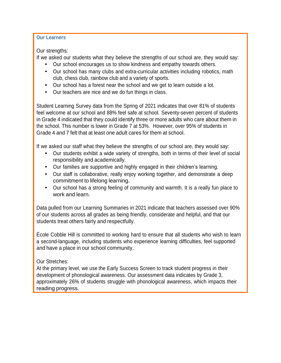## **Our Learners**

Our strengths:

If we asked our students what they believe the strengths of our school are, they would say:

- Our school encourages us to show kindness and empathy towards others.
- Our school has many clubs and extra-curricular activities including robotics, math club, chess club, rainbow club and a variety of sports.
- Our school has <sup>a</sup> forest near the school and we get to learn outside <sup>a</sup> lot.
- Our teachers are nice and we do fun things in class.

Student Learning Survey data from the Spring of 2021 indicates that over 81% of students feel welcome at our school and 88% feel safe at school. Seventy-seven percent of students in Grade 4 indicated that they could identify three or more adults who care about them in the school. This number is lower in Grade 7 at 53%. However, over 95% of students in Grade 4 and 7 felt that at least one adult cares for them at school.

If we asked our staff what they believe the strengths of our school are, they would say:

- Our students exhibit <sup>a</sup> wide variety of strengths, both in terms of their level of social responsibility and academically.
- Our families are supportive and highly engaged in their children's learning.
- Our staff is collaborative, really enjoy working together, and demonstrate <sup>a</sup> deep commitment to lifelong learning.
- Our school has <sup>a</sup> strong feeling of community and warmth. It is <sup>a</sup> really fun place to work and learn.

Data pulled from our Learning Summaries in 2021 indicate that teachers assessed over 90% of our students across all grades as being friendly, considerate and helpful, and that our students treat others fairly and respectfully.

École Cobble Hill is committed to working hard to ensure that all students who wish to learn a second-language, including students who experience learning difficulties, feel supported and have a place in our school community.

# Our Stretches:

At the primary level, we use the Early Success Screen to track student progress in their development of phonological awareness. Our assessment data indicates by Grade 3, approximately 26% of students struggle with phonological awareness, which impacts their reading progress.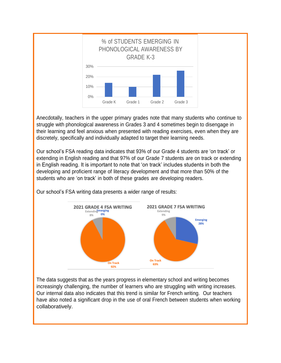

Anecdotally, teachers in the upper primary grades note that many students who continue to struggle with phonological awareness in Grades 3 and 4 sometimes begin to disengage in their learning and feel anxious when presented with reading exercises, even when they are discretely, specifically and individually adapted to target their learning needs.

Our school's FSA reading data indicates that 93% of our Grade 4 students are 'on track' or extending in English reading and that 97% of our Grade 7 students are on track or extending in English reading. It is important to note that 'on track' includes students in both the developing and proficient range of literacy development and that more than 50% of the students who are 'on track' in both of these grades are developing readers.



Our school's FSA writing data presents a wider range of results:

The data suggests that as the years progress in elementary school and writing becomes increasingly challenging, the number of learners who are struggling with writing increases. Our internal data also indicates that this trend is similar for French writing. Our teachers have also noted a significant drop in the use of oral French between students when working collaboratively.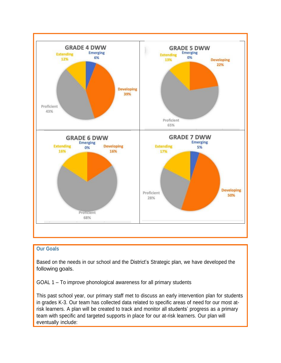

#### **Our Goals**

Based on the needs in our school and the District's Strategic plan, we have developed the following goals.

GOAL 1 – To improve phonological awareness for all primary students

This past school year, our primary staff met to discuss an early intervention plan for students in grades K-3. Our team has collected data related to specific areas of need for our most atrisk learners. A plan will be created to track and monitor all students' progress as a primary team with specific and targeted supports in place for our at-risk learners. Our plan will eventually include: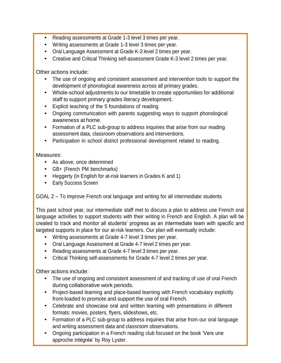- Reading assessments at Grade 1-3 level <sup>3</sup> times per year.
- Writing assessments at Grade 1-3 level 3 times per year.
- Oral Language Assessment at Grade K-3 level <sup>2</sup> times per year.
- Creative and Critical Thinking self-assessment Grade K-3 level <sup>2</sup> times per year.

Other actions include:

- The use of ongoing and consistent assessment and intervention tools to support the development of phonological awareness across all primary grades.
- Whole-school adjustments to our timetable to create opportunities for additional staff to support primary grades literacy development.
- Explicit teaching of the <sup>5</sup> foundations of reading
- Ongoing communication with parents suggesting ways to support phonological awareness at home.
- Formation of <sup>a</sup> PLC sub-group to address inquiries that arise from our reading assessment data, classroom observations and interventions.
- Participation in school district professional development related to reading.

# Measures:

- As above, once determined
- GB+ (French PM benchmarks)
- Heggerty (in English for at-risk learners in Grades <sup>K</sup> and 1)
- Early Success Screen

GOAL 2 – To improve French oral language and writing for all intermediate students

This past school year, our intermediate staff met to discuss a plan to address use French oral language activities to support students with their writing in French and English. A plan will be created to track and monitor all students' progress as an intermediate team with specific and targeted supports in place for our at-risk learners. Our plan will eventually include:

- Writing assessments at Grade 4-7 level 3 times per year.
- Oral Language Assessment at Grade 4-7 level <sup>2</sup> times per year.
- Reading assessments at Grade 4-7 level <sup>3</sup> times per year.
- Critical Thinking self-assessments for Grade 4-7 level <sup>2</sup> times per year.

Other actions include:

- The use of ongoing and consistent assessment of and tracking of use of oral French during collaborative work periods.
- Project-based learning and place-based learning with French vocabulary explicitly front-loaded to promote and support the use of oral French.
- Celebrate and showcase oral and written learning with presentations in different formats: movies, posters, flyers, slideshows, etc.
- Formation of <sup>a</sup> PLC sub-group to address inquiries that arise from our oral language and writing assessment data and classroom observations.
- Ongoing participation in <sup>a</sup> French reading club focused on the book 'Vers une approche intégrée' by Roy Lyster.